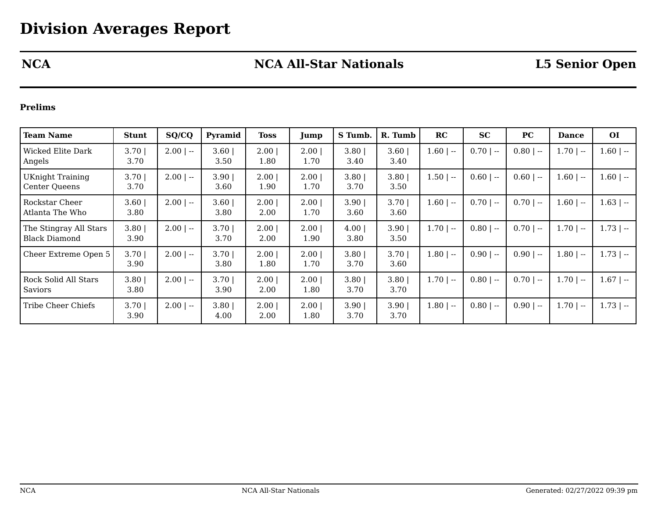## **NCA NCA All-Star Nationals L5 Senior Open**

## **Prelims**

| <b>Team Name</b>                         | <b>Stunt</b> | SQ/CQ        | Pyramid          | <b>Toss</b>  | Jump             | S Tumb.          | R. Tumb      | RC           | <b>SC</b>   | PC          | <b>Dance</b> | <b>OI</b>    |
|------------------------------------------|--------------|--------------|------------------|--------------|------------------|------------------|--------------|--------------|-------------|-------------|--------------|--------------|
| Wicked Elite Dark<br>Angels              | 3.70<br>3.70 | $2.00$   --  | 3.60<br>3.50     | 2.00<br>1.80 | 2.00<br>1.70     | $3.80$  <br>3.40 | 3.60<br>3.40 | $1.60$   $-$ | $0.70$   -- | $0.80$   -- | $1.70$   $-$ | $1.60$   $-$ |
| <b>UKnight Training</b><br>Center Oueens | 3.70<br>3.70 | $2.00$   --  | $3.90$  <br>3.60 | 2.00<br>1.90 | $2.00$  <br>1.70 | 3.80<br>3.70     | 3.80<br>3.50 | $1.50$   $-$ | $0.60$   -- | $0.60$   -- | $1.60$   --  | $1.60$   $-$ |
| Rockstar Cheer<br>Atlanta The Who        | 3.60<br>3.80 | $2.00$   --  | $3.60$  <br>3.80 | 2.00<br>2.00 | 2.00<br>1.70     | 3.90<br>3.60     | 3.70<br>3.60 | $1.60$   --  | $0.70$   -- | $0.70$   -- | $1.60$   --  | $1.63$   $-$ |
| The Stingray All Stars<br>Black Diamond  | 3.80<br>3.90 | $2.00$   --  | 3.70<br>3.70     | 2.00<br>2.00 | 2.00<br>1.90     | 4.00<br>3.80     | 3.90<br>3.50 | $1.70$   --  | $0.80$   -- | $0.70$   -- | $1.70$   $-$ | $1.73$   $-$ |
| Cheer Extreme Open 5                     | 3.70<br>3.90 | $2.00$   --  | 3.701<br>3.80    | 2.00<br>1.80 | 2.00<br>1.70     | 3.80<br>3.70     | 3.70<br>3.60 | $1.80$   $-$ | $0.90$   -- | $0.90$   -- | $1.80$   --  | $1.73$   $-$ |
| Rock Solid All Stars<br>Saviors          | 3.80<br>3.80 | $2.00$   $-$ | 3.70<br>3.90     | 2.00<br>2.00 | 2.00<br>1.80     | 3.80<br>3.70     | 3.80<br>3.70 | $1.70$   --  | $0.80$   -- | $0.70$   -- | $1.70$   $-$ | $1.67$   $-$ |
| Tribe Cheer Chiefs                       | 3.70<br>3.90 | $2.00$   --  | 3.80<br>4.00     | 2.00<br>2.00 | 2.00<br>1.80     | 3.90<br>3.70     | 3.90<br>3.70 | $1.80$   --  | $0.80$   -- | $0.90$   -- | $1.70$   $-$ | $1.73$   $-$ |